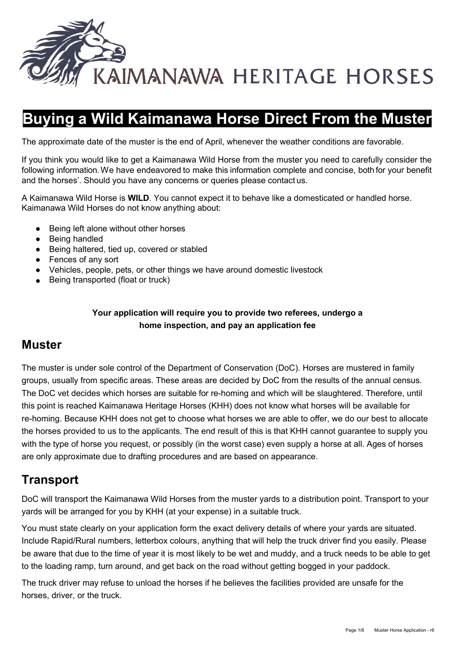

# **Buying a Wild Kaimanawa Horse Direct From the Muster**

The approximate date of the muster is the end of April, whenever the weather conditions are favorable.

If you think you would like to get a Kaimanawa Wild Horse from the muster you need to carefully consider the following information.We have endeavored to make this information complete and concise, both for your benefit and the horses'. Should you have any concerns or queries please contact us.

A Kaimanawa Wild Horse is **WILD**. You cannot expect it to behave like a domesticated or handled horse. Kaimanawa Wild Horses do not know anything about:

- Being left alone without other horses
- Being handled
- Being haltered, tied up, covered or stabled
- Fences of any sort
- Vehicles, people, pets, or other things we have around domestic livestock
- Being transported (float or truck)

#### **Your application will require you to provide two referees, undergo a home inspection, and pay an application fee**

## **Muster**

The muster is under sole control of the Department of Conservation (DoC). Horses are mustered in family groups, usually from specific areas. These areas are decided by DoC from the results of the annual census. The DoC vet decides which horses are suitable for re-homing and which will be slaughtered. Therefore, until this point is reached Kaimanawa Heritage Horses (KHH) does not know what horses will be available for re-homing. Because KHH does not get to choose what horses we are able to offer, we do our best to allocate the horses provided to us to the applicants. The end result of this is that KHH cannot guarantee to supply you with the type of horse you request, or possibly (in the worst case) even supply a horse at all. Ages of horses are only approximate due to drafting procedures and are based on appearance.

## **Transport**

DoC will transport the Kaimanawa Wild Horses from the muster yards to a distribution point. Transport to your yards will be arranged for you by KHH (at your expense) in a suitable truck.

You must state clearly on your application form the exact delivery details of where your yards are situated. Include Rapid/Rural numbers, letterbox colours, anything that will help the truck driver find you easily. Please be aware that due to the time of year it is most likely to be wet and muddy, and a truck needs to be able to get to the loading ramp, turn around, and get back on the road without getting bogged in your paddock.

The truck driver may refuse to unload the horses if he believes the facilities provided are unsafe for the horses, driver, or the truck.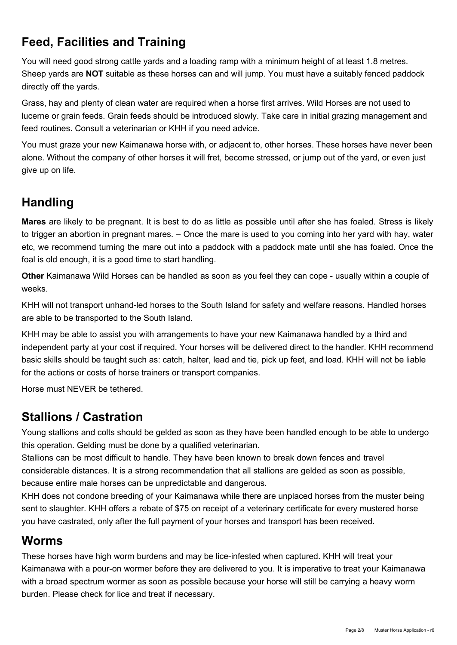# **Feed, Facilities and Training**

You will need good strong cattle yards and a loading ramp with a minimum height of at least 1.8 metres. Sheep yards are **NOT** suitable as these horses can and will jump. You must have a suitably fenced paddock directly off the yards.

Grass, hay and plenty of clean water are required when a horse first arrives. Wild Horses are not used to lucerne or grain feeds. Grain feeds should be introduced slowly. Take care in initial grazing management and feed routines. Consult a veterinarian or KHH if you need advice.

You must graze your new Kaimanawa horse with, or adjacent to, other horses. These horses have never been alone. Without the company of other horses it will fret, become stressed, or jump out of the yard, or even just give up on life.

# **Handling**

**Mares** are likely to be pregnant. It is best to do as little as possible until after she has foaled. Stress is likely to trigger an abortion in pregnant mares. – Once the mare is used to you coming into her yard with hay, water etc, we recommend turning the mare out into a paddock with a paddock mate until she has foaled. Once the foal is old enough, it is a good time to start handling.

**Other** Kaimanawa Wild Horses can be handled as soon as you feel they can cope - usually within a couple of weeks.

KHH will not transport unhand-led horses to the South Island for safety and welfare reasons. Handled horses are able to be transported to the South Island.

KHH may be able to assist you with arrangements to have your new Kaimanawa handled by a third and independent party at your cost if required. Your horses will be delivered direct to the handler. KHH recommend basic skills should be taught such as: catch, halter, lead and tie, pick up feet, and load. KHH will not be liable for the actions or costs of horse trainers or transport companies.

Horse must NEVER be tethered.

# **Stallions / Castration**

Young stallions and colts should be gelded as soon as they have been handled enough to be able to undergo this operation. Gelding must be done by a qualified veterinarian.

Stallions can be most difficult to handle. They have been known to break down fences and travel considerable distances. It is a strong recommendation that all stallions are gelded as soon as possible, because entire male horses can be unpredictable and dangerous.

KHH does not condone breeding of your Kaimanawa while there are unplaced horses from the muster being sent to slaughter. KHH offers a rebate of \$75 on receipt of a veterinary certificate for every mustered horse you have castrated, only after the full payment of your horses and transport has been received.

## **Worms**

These horses have high worm burdens and may be lice-infested when captured. KHH will treat your Kaimanawa with a pour-on wormer before they are delivered to you. It is imperative to treat your Kaimanawa with a broad spectrum wormer as soon as possible because your horse will still be carrying a heavy worm burden. Please check for lice and treat if necessary.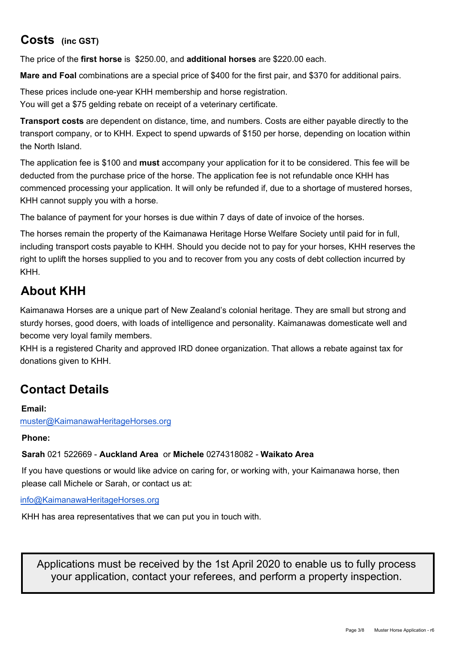# **Costs (inc GST)**

The price of the **first horse** is \$250.00, and **additional horses** are \$220.00 each.

**Mare and Foal** combinations are a special price of \$400 for the first pair, and \$370 for additional pairs.

These prices include one-year KHH membership and horse registration.

You will get a \$75 gelding rebate on receipt of a veterinary certificate.

**Transport costs** are dependent on distance, time, and numbers. Costs are either payable directly to the transport company, or to KHH. Expect to spend upwards of \$150 per horse, depending on location within the North Island.

The application fee is \$100 and **must** accompany your application for it to be considered. This fee will be deducted from the purchase price of the horse. The application fee is not refundable once KHH has commenced processing your application. It will only be refunded if, due to a shortage of mustered horses, KHH cannot supply you with a horse.

The balance of payment for your horses is due within 7 days of date of invoice of the horses.

right to uplift the horses supplied to you and to recover from you any costs of debt collection incurred by **Please email your application form to:** muster@KaimanawaHeritageHorses.org The horses remain the property of the Kaimanawa Heritage Horse Welfare Society until paid for in full, including transport costs payable to KHH. [Should you decide not](mailto:muster@KaimanawaHeritageHorses.org) to pay for your horses, KHH reserves the KHH.

# **Kaimanawas**

Kaimanawa Horses are a unique part of New Zealand's colonial heritage. They are small but strong and sturdy horses, good doers, with loads of intelligence and personality. Kaimanawas domesticate well and become very loyal family members.

# **are spent in the care and promotion of the care and promotion of the Kaimanawa Wild Horses.**

KHH is a registered Charity and is an approved IRD donee organization. That allows a rebate against<br>tau fan danstiens since to KULL KULLis setimber associationed western tax for donations giv[en to KHH. KHH is entirely o](mailto:muster@KaimanawaHeritageHorses.org)perated by volunteers.

# **Contact Details**

#### **Email:**

muster@KaimanawaHeritageHorses.org

#### **Phone: Sarah** 021 522669 - **Auckland Area** or **Michele** 0274318082 - **Waikato Area**

If you have questions or would like advice on caring for, or working with, your Kaimanawa horse, then

please call Michele or Sarah, or contact us at:

info@[KaimanawaHeritageHorses.org](mailto:info@KaimanawaHeritageHorses.org)

KHH has area representatives that we can put you in touch with.

Applications must be received by the 1st April 2020 to enable us to fully process your application, contact your referees, and perform a property inspection.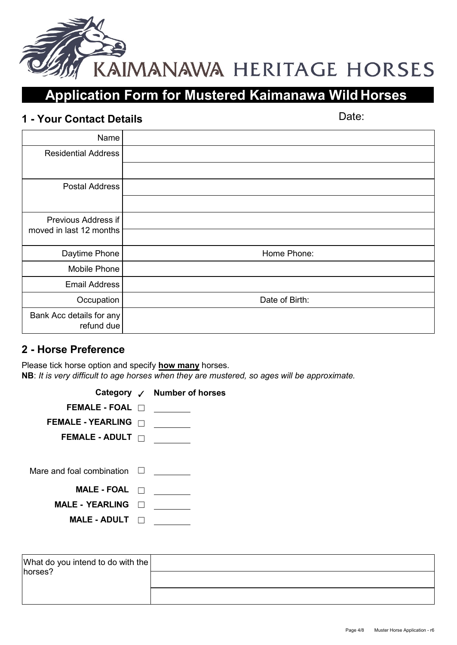

# **Application Form for Mustered Kaimanawa Wild Horses**

# **1 - Your Contact Details** *Details*

| Name                                   |                |
|----------------------------------------|----------------|
| <b>Residential Address</b>             |                |
|                                        |                |
| <b>Postal Address</b>                  |                |
|                                        |                |
| Previous Address if                    |                |
| moved in last 12 months                |                |
| Daytime Phone                          | Home Phone:    |
| Mobile Phone                           |                |
| <b>Email Address</b>                   |                |
| Occupation                             | Date of Birth: |
| Bank Acc details for any<br>refund due |                |

## **2 - Horse Preference**

Please tick horse option and specify **how many** horses. **NB**: *It is very difficult to age horses when they are mustered, so ages will be approximate.*

|                                  | Category √ Number of horses |
|----------------------------------|-----------------------------|
| FEMALE - FOAL $\Box$             |                             |
| <b>FEMALE - YEARLING</b>         |                             |
| FEMALE - ADULT $\Box$            |                             |
|                                  |                             |
| Mare and foal combination $\Box$ |                             |
| <b>MALE - FOAL</b>               |                             |
| <b>MALE - YEARLING</b>           |                             |
| <b>MALE - ADULT</b>              |                             |

| What do you intend to do with the |  |
|-----------------------------------|--|
| horses?                           |  |
|                                   |  |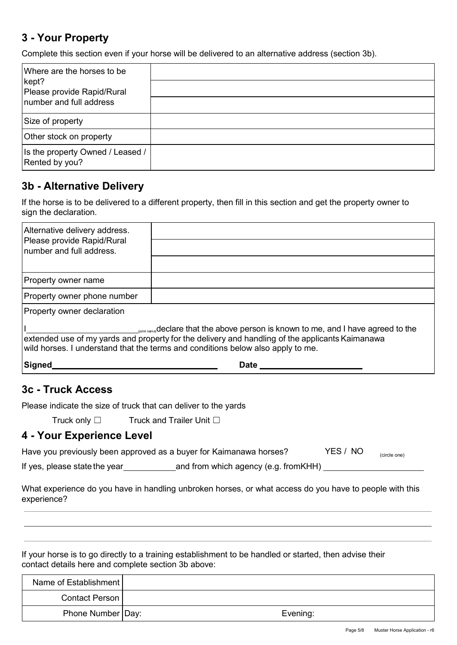## **3 - Your Property**

Complete this section even if your horse will be delivered to an alternative address (section 3b).

| Where are the horses to be<br>kept?<br>Please provide Rapid/Rural |  |
|-------------------------------------------------------------------|--|
| Inumber and full address                                          |  |
| Size of property                                                  |  |
| Other stock on property                                           |  |
| Is the property Owned / Leased /<br>Rented by you?                |  |

### **3b - Alternative Delivery**

If the horse is to be delivered to a different property, then fill in this section and get the property owner to sign the declaration.

| Alternative delivery address.<br>Please provide Rapid/Rural<br>Inumber and full address.                                                                                                                                                                                             |             |  |  |  |
|--------------------------------------------------------------------------------------------------------------------------------------------------------------------------------------------------------------------------------------------------------------------------------------|-------------|--|--|--|
|                                                                                                                                                                                                                                                                                      |             |  |  |  |
| Property owner name                                                                                                                                                                                                                                                                  |             |  |  |  |
| Property owner phone number                                                                                                                                                                                                                                                          |             |  |  |  |
| Property owner declaration                                                                                                                                                                                                                                                           |             |  |  |  |
| Spint name <sub>l</sub> declare that the above person is known to me, and I have agreed to the<br>extended use of my yards and property for the delivery and handling of the applicants Kaimanawa<br>wild horses. I understand that the terms and conditions below also apply to me. |             |  |  |  |
| Signed                                                                                                                                                                                                                                                                               | <b>Date</b> |  |  |  |

### **3c - Truck Access**

Please indicate the size of truck that can deliver to the yards

Truck only □ Truck and Trailer Unit □

## **4 - Your Experience Level**

|  | Have you previously been approved as a buyer for Kaimanawa horses? |  |  | YES / NO | (circle one) |  |
|--|--------------------------------------------------------------------|--|--|----------|--------------|--|
|  |                                                                    |  |  |          |              |  |

If yes, please state the year and from which agency (e.g. fromKHH)

What experience do you have in handling unbroken horses, or what access do you have to people with this experience?

If your horse is to go directly to a training establishment to be handled or started, then advise their contact details here and complete section 3b above:

| Name of Establishment |          |
|-----------------------|----------|
| <b>Contact Person</b> |          |
| Phone Number   Day:   | Evening: |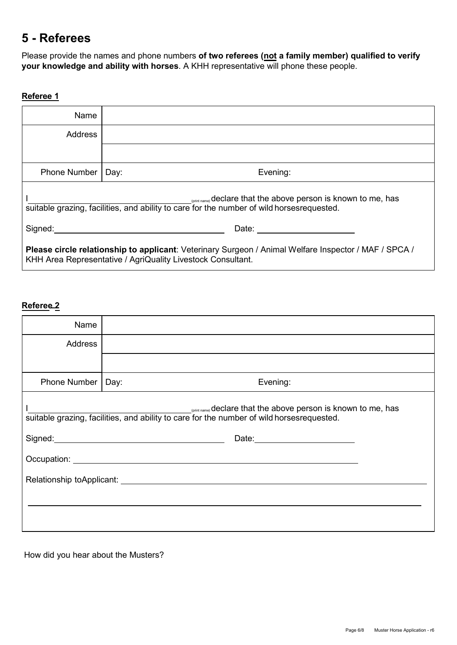## **5 - Referees**

Please provide the names and phone numbers **of two referees (not a family member) qualified to verify your knowledge and ability with horses**. A KHH representative will phone these people.

#### **Referee 1**

| Name                                                                                                                                                                 |                  |  |  |  |
|----------------------------------------------------------------------------------------------------------------------------------------------------------------------|------------------|--|--|--|
| <b>Address</b>                                                                                                                                                       |                  |  |  |  |
|                                                                                                                                                                      |                  |  |  |  |
| <b>Phone Number</b>                                                                                                                                                  | Evening:<br>Day: |  |  |  |
| (print name) declare that the above person is known to me, has<br>suitable grazing, facilities, and ability to care for the number of wild horsesrequested.          |                  |  |  |  |
| Signed:<br>Date:                                                                                                                                                     |                  |  |  |  |
| Please circle relationship to applicant: Veterinary Surgeon / Animal Welfare Inspector / MAF / SPCA /<br>KHH Area Representative / AgriQuality Livestock Consultant. |                  |  |  |  |

### **Referee 2**

| Name                                                                                                                                                                                                                          |                  |  |  |  |
|-------------------------------------------------------------------------------------------------------------------------------------------------------------------------------------------------------------------------------|------------------|--|--|--|
| <b>Address</b>                                                                                                                                                                                                                |                  |  |  |  |
|                                                                                                                                                                                                                               |                  |  |  |  |
| Phone Number                                                                                                                                                                                                                  | Evening:<br>Day: |  |  |  |
| <b>Cprint name)</b> declare that the above person is known to me, has<br>suitable grazing, facilities, and ability to care for the number of wild horsesrequested.                                                            |                  |  |  |  |
|                                                                                                                                                                                                                               |                  |  |  |  |
| Occupation: New York Contract to the Contract of the Contract of the Contract of the Contract of the Contract of the Contract of the Contract of the Contract of the Contract of the Contract of the Contract of the Contract |                  |  |  |  |
|                                                                                                                                                                                                                               |                  |  |  |  |
|                                                                                                                                                                                                                               |                  |  |  |  |
|                                                                                                                                                                                                                               |                  |  |  |  |

How did you hear about the Musters?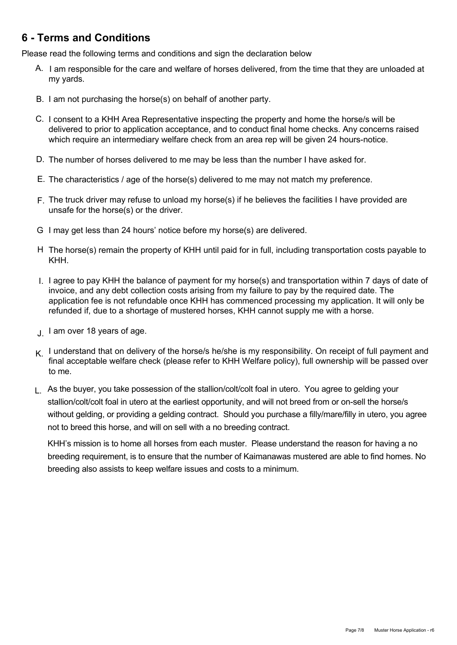## **6 - Terms and Conditions**

Please read the following terms and conditions and sign the declaration below

- A. I am responsible for the care and welfare of horses delivered, from the time that they are unloaded at my yards.
- B. I am not purchasing the horse(s) on behalf of another party.
- C. I consent to a KHH Area Representative inspecting the property and home the horse/s will be delivered to prior to application acceptance, and to conduct final home checks. Any concerns raised which require an intermediary welfare check from an area rep will be given 24 hours-notice.
- D. The number of horses delivered to me may be less than the number I have asked for.
- $E$ . The characteristics / age of the horse(s) delivered to me may not match my preference.
- F. The truck driver may refuse to unload my horse(s) if he believes the facilities I have provided are unsafe for the horse(s) or the driver.
- G I may get less than 24 hours' notice before my horse(s) are delivered.
- H The horse(s) remain the property of KHH until paid for in full, including transportation costs payable to KHH.
- I. I agree to pay KHH the balance of payment for my horse(s) and transportation within 7 days of date of invoice, and any debt collection costs arising from my failure to pay by the required date. The application fee is not refundable once KHH has commenced processing my application. It will only be refunded if, due to a shortage of mustered horses, KHH cannot supply me with a horse.
- ل I am over 18 years of age.
- $K$ . I understand that on delivery of the horse/s he/she is my responsibility. On receipt of full payment and final acceptable welfare check (please refer to KHH Welfare policy), full ownership will be passed over to me.
- L. As the buyer, you take possession of the stallion/colt/colt foal in utero. You agree to gelding your stallion/colt/colt foal in utero at the earliest opportunity, and will not breed from or on-sell the horse/s without gelding, or providing a gelding contract. Should you purchase a filly/mare/filly in utero, you agree not to breed this horse, and will on sell with a no breeding contract.

KHH's mission is to home all horses from each muster. Please understand the reason for having a no breeding requirement, is to ensure that the number of Kaimanawas mustered are able to find homes. No breeding also assists to keep welfare issues and costs to a minimum.

#### **APPLICATIONS WILL NOT BE VALID UNTIL DECLARATION ON THE FOLLOWING PAGE IS SIGNED AND RETURNED TO KHH WITH THE REQUIRED \$100.00 DEPOSIT**